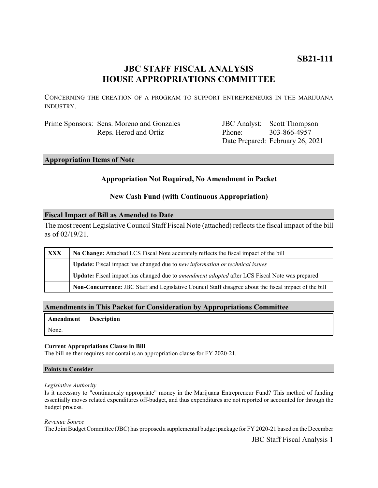# **JBC STAFF FISCAL ANALYSIS HOUSE APPROPRIATIONS COMMITTEE**

CONCERNING THE CREATION OF A PROGRAM TO SUPPORT ENTREPRENEURS IN THE MARIJUANA INDUSTRY.

Prime Sponsors: Sens. Moreno and Gonzales Reps. Herod and Ortiz

JBC Analyst: Scott Thompson Phone: Date Prepared: February 26, 2021 303-866-4957

## **Appropriation Items of Note**

# **Appropriation Not Required, No Amendment in Packet**

# **New Cash Fund (with Continuous Appropriation)**

## **Fiscal Impact of Bill as Amended to Date**

The most recent Legislative Council Staff Fiscal Note (attached) reflects the fiscal impact of the bill as of 02/19/21.

| <b>XXX</b> | No Change: Attached LCS Fiscal Note accurately reflects the fiscal impact of the bill                 |
|------------|-------------------------------------------------------------------------------------------------------|
|            | Update: Fiscal impact has changed due to new information or technical issues                          |
|            | Update: Fiscal impact has changed due to <i>amendment adopted</i> after LCS Fiscal Note was prepared  |
|            | Non-Concurrence: JBC Staff and Legislative Council Staff disagree about the fiscal impact of the bill |

# **Amendments in This Packet for Consideration by Appropriations Committee**

|       | <b>Amendment</b> Description |
|-------|------------------------------|
| None. |                              |

### **Current Appropriations Clause in Bill**

The bill neither requires nor contains an appropriation clause for FY 2020-21.

### **Points to Consider**

#### *Legislative Authority*

Is it necessary to "continuously appropriate" money in the Marijuana Entrepreneur Fund? This method of funding essentially moves related expenditures off-budget, and thus expenditures are not reported or accounted for through the budget process.

#### *Revenue Source*

The Joint Budget Committee (JBC) has proposed a supplemental budget package for FY 2020-21 based on the December